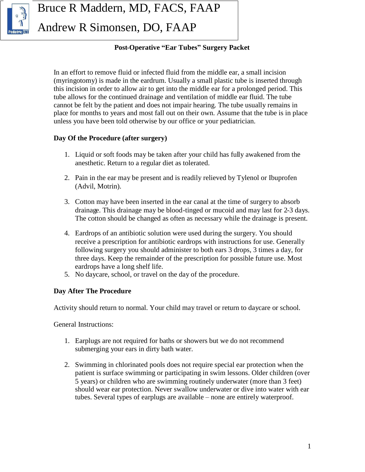

Bruce R Maddern, MD, FACS, FAAP

Andrew R Simonsen, DO, FAAP

#### **Post-Operative "Ear Tubes" Surgery Packet**

In an effort to remove fluid or infected fluid from the middle ear, a small incision (myringotomy) is made in the eardrum. Usually a small plastic tube is inserted through this incision in order to allow air to get into the middle ear for a prolonged period. This tube allows for the continued drainage and ventilation of middle ear fluid. The tube cannot be felt by the patient and does not impair hearing. The tube usually remains in place for months to years and most fall out on their own. Assume that the tube is in place unless you have been told otherwise by our office or your pediatrician.

#### **Day Of the Procedure (after surgery)**

- 1. Liquid or soft foods may be taken after your child has fully awakened from the anesthetic. Return to a regular diet as tolerated.
- 2. Pain in the ear may be present and is readily relieved by Tylenol or Ibuprofen (Advil, Motrin).
- 3. Cotton may have been inserted in the ear canal at the time of surgery to absorb drainage. This drainage may be blood-tinged or mucoid and may last for 2-3 days. The cotton should be changed as often as necessary while the drainage is present.
- 4. Eardrops of an antibiotic solution were used during the surgery. You should receive a prescription for antibiotic eardrops with instructions for use. Generally following surgery you should administer to both ears 3 drops, 3 times a day, for three days. Keep the remainder of the prescription for possible future use. Most eardrops have a long shelf life.
- 5. No daycare, school, or travel on the day of the procedure.

# **Day After The Procedure**

Activity should return to normal. Your child may travel or return to daycare or school.

General Instructions:

- 1. Earplugs are not required for baths or showers but we do not recommend submerging your ears in dirty bath water.
- 2. Swimming in chlorinated pools does not require special ear protection when the patient is surface swimming or participating in swim lessons. Older children (over 5 years) or children who are swimming routinely underwater (more than 3 feet) should wear ear protection. Never swallow underwater or dive into water with ear tubes. Several types of earplugs are available – none are entirely waterproof.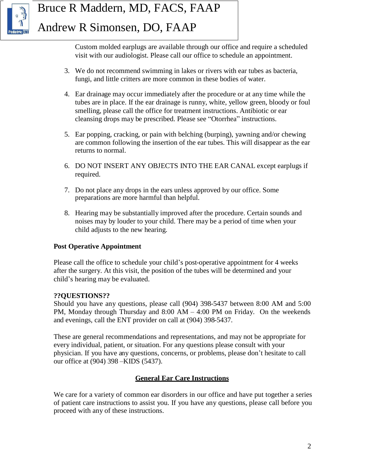

# Bruce R Maddern, MD, FACS, FAAP Andrew R Simonsen, DO, FAAP

Custom molded earplugs are available through our office and require a scheduled visit with our audiologist. Please call our office to schedule an appointment.

- 3. We do not recommend swimming in lakes or rivers with ear tubes as bacteria, fungi, and little critters are more common in these bodies of water.
- 4. Ear drainage may occur immediately after the procedure or at any time while the tubes are in place. If the ear drainage is runny, white, yellow green, bloody or foul smelling, please call the office for treatment instructions. Antibiotic or ear cleansing drops may be prescribed. Please see "Otorrhea" instructions.
- 5. Ear popping, cracking, or pain with belching (burping), yawning and/or chewing are common following the insertion of the ear tubes. This will disappear as the ear returns to normal.
- 6. DO NOT INSERT ANY OBJECTS INTO THE EAR CANAL except earplugs if required.
- 7. Do not place any drops in the ears unless approved by our office. Some preparations are more harmful than helpful.
- 8. Hearing may be substantially improved after the procedure. Certain sounds and noises may by louder to your child. There may be a period of time when your child adjusts to the new hearing.

# **Post Operative Appointment**

Please call the office to schedule your child's post-operative appointment for 4 weeks after the surgery. At this visit, the position of the tubes will be determined and your child's hearing may be evaluated.

#### **??QUESTIONS??**

Should you have any questions, please call (904) 398-5437 between 8:00 AM and 5:00 PM, Monday through Thursday and  $8:00$  AM – 4:00 PM on Friday. On the weekends and evenings, call the ENT provider on call at (904) 398-5437.

These are general recommendations and representations, and may not be appropriate for every individual, patient, or situation. For any questions please consult with your physician. If you have any questions, concerns, or problems, please don't hesitate to call our office at (904) 398 –KIDS (5437).

#### **General Ear Care Instructions**

We care for a variety of common ear disorders in our office and have put together a series of patient care instructions to assist you. If you have any questions, please call before you proceed with any of these instructions.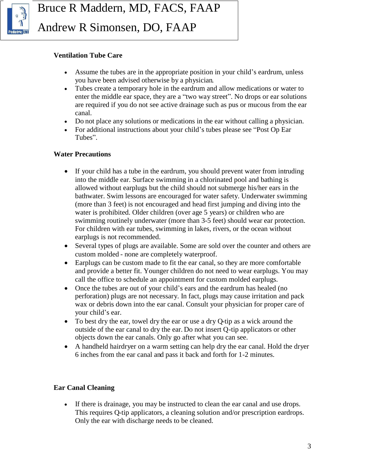

Andrew R Simonsen, DO, FAAP

#### **Ventilation Tube Care**

- Assume the tubes are in the appropriate position in your child's eardrum, unless you have been advised otherwise by a physician.
- Tubes create a temporary hole in the eardrum and allow medications or water to enter the middle ear space, they are a "two way street". No drops or ear solutions are required if you do not see active drainage such as pus or mucous from the ear canal.
- Do not place any solutions or medications in the ear without calling a physician.
- For additional instructions about your child's tubes please see "Post Op Ear" Tubes".

#### **Water Precautions**

- If your child has a tube in the eardrum, you should prevent water from intruding into the middle ear. Surface swimming in a chlorinated pool and bathing is allowed without earplugs but the child should not submerge his/her ears in the bathwater. Swim lessons are encouraged for water safety. Underwater swimming (more than 3 feet) is not encouraged and head first jumping and diving into the water is prohibited. Older children (over age 5 years) or children who are swimming routinely underwater (more than 3-5 feet) should wear ear protection. For children with ear tubes, swimming in lakes, rivers, or the ocean without earplugs is not recommended.
- Several types of plugs are available. Some are sold over the counter and others are custom molded - none are completely waterproof.
- Earplugs can be custom made to fit the ear canal, so they are more comfortable and provide a better fit. Younger children do not need to wear earplugs. You may call the office to schedule an appointment for custom molded earplugs.
- Once the tubes are out of your child's ears and the eardrum has healed (no perforation) plugs are not necessary. In fact, plugs may cause irritation and pack wax or debris down into the ear canal. Consult your physician for proper care of your child's ear.
- To best dry the ear, towel dry the ear or use a dry Q-tip as a wick around the outside of the ear canal to dry the ear. Do not insert Q-tip applicators or other objects down the ear canals. Only go after what you can see.
- A handheld hairdryer on a warm setting can help dry the ear canal. Hold the dryer 6 inches from the ear canal and pass it back and forth for 1-2 minutes.

# **Ear Canal Cleaning**

 If there is drainage, you may be instructed to clean the ear canal and use drops. This requires Q-tip applicators, a cleaning solution and/or prescription eardrops. Only the ear with discharge needs to be cleaned.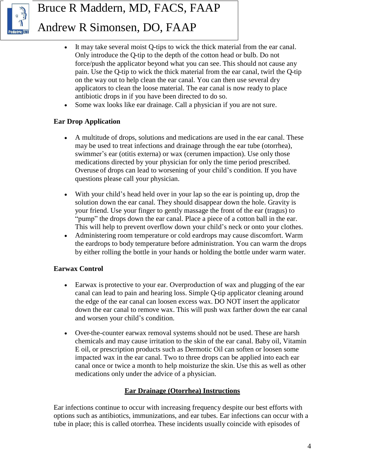

# Bruce R Maddern, MD, FACS, FAAP Andrew R Simonsen, DO, FAAP

- It may take several moist Q-tips to wick the thick material from the ear canal. Only introduce the Q-tip to the depth of the cotton head or bulb. Do not force/push the applicator beyond what you can see. This should not cause any pain. Use the Q-tip to wick the thick material from the ear canal, twirl the Q-tip on the way out to help clean the ear canal. You can then use several dry applicators to clean the loose material. The ear canal is now ready to place antibiotic drops in if you have been directed to do so.
- Some wax looks like ear drainage. Call a physician if you are not sure.

# **Ear Drop Application**

- A multitude of drops, solutions and medications are used in the ear canal. These may be used to treat infections and drainage through the ear tube (otorrhea), swimmer's ear (otitis externa) or wax (cerumen impaction). Use only those medications directed by your physician for only the time period prescribed. Overuse of drops can lead to worsening of your child's condition. If you have questions please call your physician.
- With your child's head held over in your lap so the ear is pointing up, drop the solution down the ear canal. They should disappear down the hole. Gravity is your friend. Use your finger to gently massage the front of the ear (tragus) to "pump" the drops down the ear canal. Place a piece of a cotton ball in the ear. This will help to prevent overflow down your child's neck or onto your clothes.
- Administering room temperature or cold eardrops may cause discomfort. Warm the eardrops to body temperature before administration. You can warm the drops by either rolling the bottle in your hands or holding the bottle under warm water.

# **Earwax Control**

- Earwax is protective to your ear. Overproduction of wax and plugging of the ear canal can lead to pain and hearing loss. Simple Q-tip applicator cleaning around the edge of the ear canal can loosen excess wax. DO NOT insert the applicator down the ear canal to remove wax. This will push wax farther down the ear canal and worsen your child's condition.
- Over-the-counter earwax removal systems should not be used. These are harsh chemicals and may cause irritation to the skin of the ear canal. Baby oil, Vitamin E oil, or prescription products such as Dermotic Oil can soften or loosen some impacted wax in the ear canal. Two to three drops can be applied into each ear canal once or twice a month to help moisturize the skin. Use this as well as other medications only under the advice of a physician.

# **Ear Drainage (Otorrhea) Instructions**

Ear infections continue to occur with increasing frequency despite our best efforts with options such as antibiotics, immunizations, and ear tubes. Ear infections can occur with a tube in place; this is called otorrhea. These incidents usually coincide with episodes of